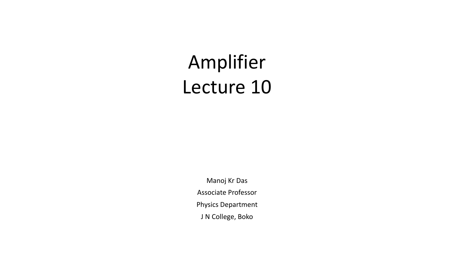# Amplifier Lecture 10

Manoj Kr Das Associate Professor Physics Department J N College, Boko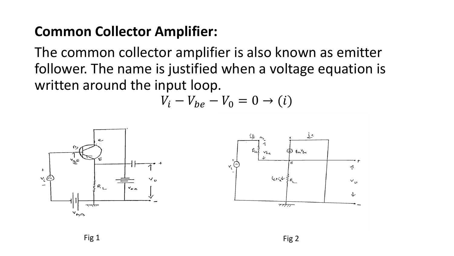### **Common Collector Amplifier:**

The common collector amplifier is also known as emitter follower. The name is justified when a voltage equation is written around the input loop.

$$
V_i - V_{be} - V_0 = 0 \rightarrow (i)
$$



Fig  $1$  Fig  $2$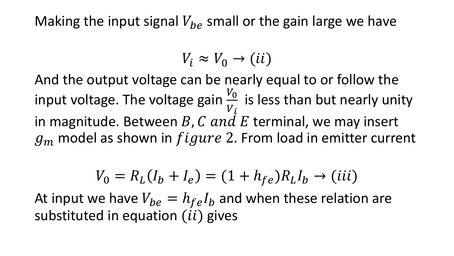Making the input signal  $V_{be}$  small or the gain large we have

 $V_i \approx V_0 \rightarrow (ii)$ 

And the output voltage can be nearly equal to or follow the input voltage. The voltage gain  $\frac{V_0}{V}$  $V_{i}$ is less than but nearly unity in magnitude. Between  $B$ ,  $C$  and  $E$  terminal, we may insert  $g_m$  model as shown in  $figure$  2. From load in emitter current

$$
V_0 = R_L(I_b + I_e) = (1 + h_{fe})R_L I_b \to (iii)
$$

At input we have  $V_{be} = h_{fe} I_b$  and when these relation are substituted in equation  $(ii)$  gives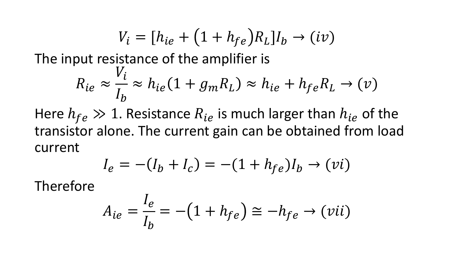$$
V_i = [h_{ie} + (1 + h_{fe})R_L]I_b \rightarrow (iv)
$$

The input resistance of the amplifier is

$$
R_{ie} \approx \frac{V_i}{I_b} \approx h_{ie}(1 + g_m R_L) \approx h_{ie} + h_{fe} R_L \rightarrow (v)
$$

Here  $h_{fe} \gg 1$ . Resistance  $R_{ie}$  is much larger than  $h_{ie}$  of the transistor alone. The current gain can be obtained from load current

$$
I_e = -(I_b + I_c) = -(1 + h_{fe})I_b \to (vi)
$$

Therefore

$$
A_{ie} = \frac{I_e}{I_b} = -(1 + h_{fe}) \cong -h_{fe} \rightarrow (vii)
$$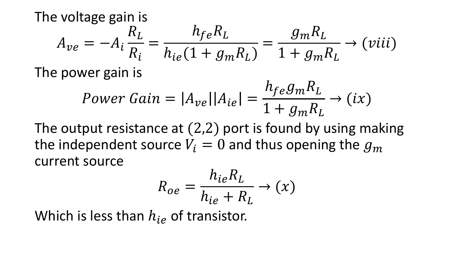The voltage gain is  $A_{ve} = -A_i$  $R_L$  $R_i$ =  $h_{fe}R_L$  $h_{ie}(1 + g_m R_L)$ =  $g_m R_L$  $1 + g_m R_L$ 

The power gain is

$$
Power\ Gain = |A_{ve}||A_{ie}| = \frac{h_{fe}g_m R_L}{1 + g_m R_L} \rightarrow (ix)
$$

 $\rightarrow$  (viii)

The output resistance at (2,2) port is found by using making the independent source  $V_i = 0$  and thus opening the  $g_m$ current source

$$
R_{oe} = \frac{h_{ie}R_L}{h_{ie} + R_L} \rightarrow (x)
$$

Which is less than  $h_{i\rho}$  of transistor.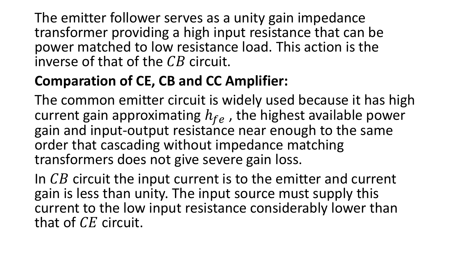The emitter follower serves as a unity gain impedance transformer providing a high input resistance that can be power matched to low resistance load. This action is the inverse of that of the  $CB$  circuit.

### **Comparation of CE, CB and CC Amplifier:**

The common emitter circuit is widely used because it has high current gain approximating  $h_{fe}$  , the highest available power gain and input-output resistance near enough to the same order that cascading without impedance matching transformers does not give severe gain loss.

In  $CB$  circuit the input current is to the emitter and current gain is less than unity. The input source must supply this current to the low input resistance considerably lower than that of  $CE$  circuit.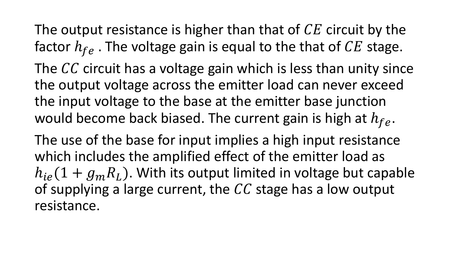The output resistance is higher than that of  $CE$  circuit by the factor  $h_{fe}$ . The voltage gain is equal to the that of  $CE$  stage. The  $CC$  circuit has a voltage gain which is less than unity since the output voltage across the emitter load can never exceed the input voltage to the base at the emitter base junction would become back biased. The current gain is high at  $h_{fe}$ .

The use of the base for input implies a high input resistance which includes the amplified effect of the emitter load as  $h_{ie}(1 + g_m R_L)$ . With its output limited in voltage but capable of supplying a large current, the  $\mathcal{C}\mathcal{C}$  stage has a low output resistance.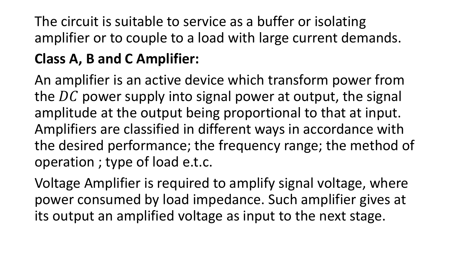# The circuit is suitable to service as a buffer or isolating amplifier or to couple to a load with large current demands.

## **Class A, B and C Amplifier:**

An amplifier is an active device which transform power from the  $DC$  power supply into signal power at output, the signal amplitude at the output being proportional to that at input. Amplifiers are classified in different ways in accordance with the desired performance; the frequency range; the method of operation ; type of load e.t.c.

Voltage Amplifier is required to amplify signal voltage, where power consumed by load impedance. Such amplifier gives at its output an amplified voltage as input to the next stage.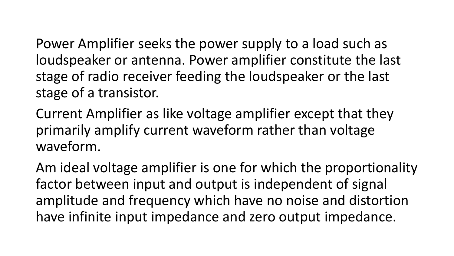Power Amplifier seeks the power supply to a load such as loudspeaker or antenna. Power amplifier constitute the last stage of radio receiver feeding the loudspeaker or the last stage of a transistor.

Current Amplifier as like voltage amplifier except that they primarily amplify current waveform rather than voltage waveform.

Am ideal voltage amplifier is one for which the proportionality factor between input and output is independent of signal amplitude and frequency which have no noise and distortion have infinite input impedance and zero output impedance.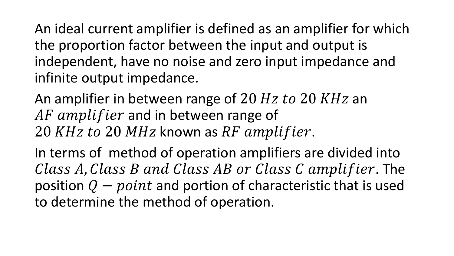An ideal current amplifier is defined as an amplifier for which the proportion factor between the input and output is independent, have no noise and zero input impedance and infinite output impedance.

An amplifier in between range of 20  $Hz$  to 20  $KHz$  an AF amplifier and in between range of 20 KHz to 20 MHz known as RF amplifier.

In terms of method of operation amplifiers are divided into  $Class A, Class B and Class AB or Class C amplitude. The$ position  $Q - point$  and portion of characteristic that is used to determine the method of operation.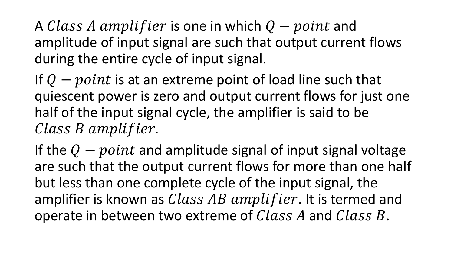A  $\emph{Class A amplifier}$  is one in which  $Q - point$  and amplitude of input signal are such that output current flows during the entire cycle of input signal.

If  $Q$  – point is at an extreme point of load line such that quiescent power is zero and output current flows for just one half of the input signal cycle, the amplifier is said to be Class B amplifier.

If the  $Q - point$  and amplitude signal of input signal voltage are such that the output current flows for more than one half but less than one complete cycle of the input signal, the amplifier is known as  $Class AB$  amplifier. It is termed and operate in between two extreme of  $Class A$  and  $Class B$ .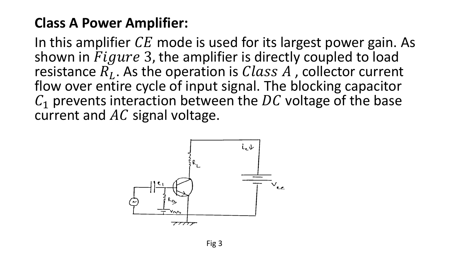### **Class A Power Amplifier:**

In this amplifier  $CE$  mode is used for its largest power gain. As shown in  $Figure 3$ , the amplifier is directly coupled to load resistance  $\overline{R}_L$ . As the operation is  $Class A$ , collector current flow over entire cycle of input signal. The blocking capacitor  $C_1$  prevents interaction between the DC voltage of the base current and  $AC$  signal voltage.

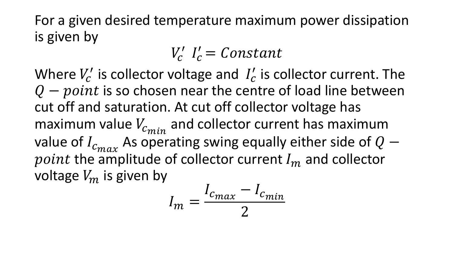For a given desired temperature maximum power dissipation is given by

 $V_c'$   $I_c' = Constant$ 

Where  $V_c'$  is collector voltage and  $I_c'$  is collector current. The  $Q$  –  $point$  is so chosen near the centre of load line between cut off and saturation. At cut off collector voltage has maximum value  $V_{c_{min}}$  and collector current has maximum value of  $I_{c_{max}}$  As operating swing equally either side of  $Q$  –  $point$  the amplitude of collector current  $I_m$  and collector voltage  $V_m$  is given by

$$
I_m = \frac{I_{c_{max}} - I_{c_{min}}}{2}
$$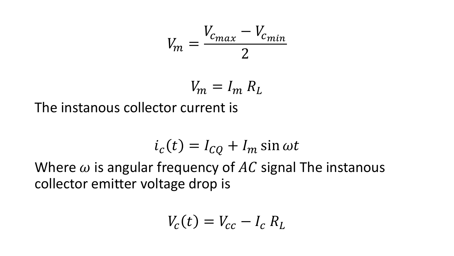$$
V_m = \frac{V_{c_{max}} - V_{c_{min}}}{2}
$$

$$
V_m = I_m R_L
$$

The instanous collector current is

$$
i_c(t) = I_{CQ} + I_m \sin \omega t
$$

Where  $\omega$  is angular frequency of AC signal The instanous collector emitter voltage drop is

$$
V_c(t) = V_{cc} - I_c R_L
$$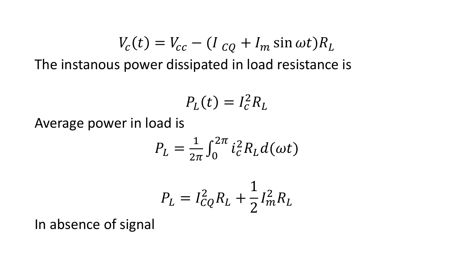$$
V_c(t) = V_{cc} - (I_{cQ} + I_m \sin \omega t) R_L
$$

The instanous power dissipated in load resistance is

$$
P_L(t) = I_c^2 R_L
$$

Average power in load is

$$
P_L = \frac{1}{2\pi} \int_0^{2\pi} i_c^2 R_L d(\omega t)
$$

$$
P_L = I_{CQ}^2 R_L + \frac{1}{2} I_m^2 R_L
$$

In absence of signal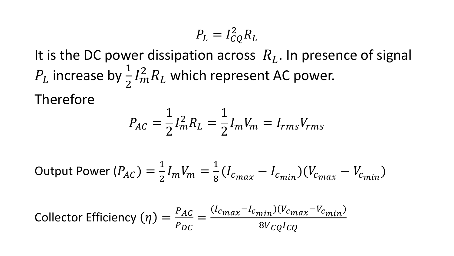$$
P_L = I_{CQ}^2 R_L
$$

It is the DC power dissipation across  $R_L$ . In presence of signal  $P_L$  increase by  $\frac{1}{2}$ 2  $I_m^2 R_L$  which represent AC power.

Therefore

$$
P_{AC} = \frac{1}{2} I_m^2 R_L = \frac{1}{2} I_m V_m = I_{rms} V_{rms}
$$

Output Power 
$$
(P_{AC}) = \frac{1}{2} I_m V_m = \frac{1}{8} (I_{c_{max}} - I_{c_{min}}) (V_{c_{max}} - V_{c_{min}})
$$

Collector Efficiency 
$$
(\eta)
$$
 =  $\frac{P_{AC}}{P_{DC}} = \frac{(I_{cmax} - I_{cmin})(V_{cmax} - V_{cmin})}{8V_{CQ}I_{CQ}}$